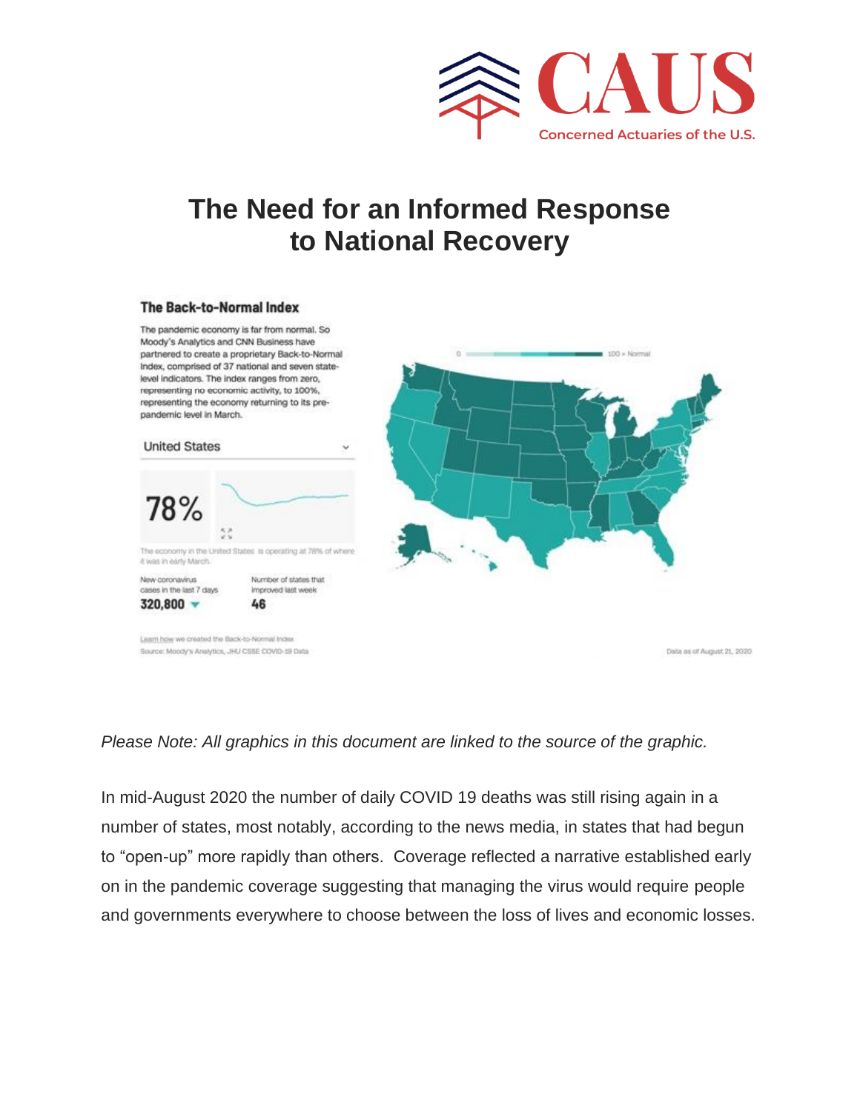

# **The Need for an Informed Response to National Recovery**

#### The Back-to-Normal Index



### *Please Note: All graphics in this document are linked to the source of the graphic.*

In mid-August 2020 the number of daily COVID 19 deaths was still rising again in a number of states, most notably, according to the news media, in states that had begun to "open-up" more rapidly than others. Coverage reflected a narrative established early on in the pandemic coverage suggesting that managing the virus would require people and governments everywhere to choose between the loss of lives and economic losses.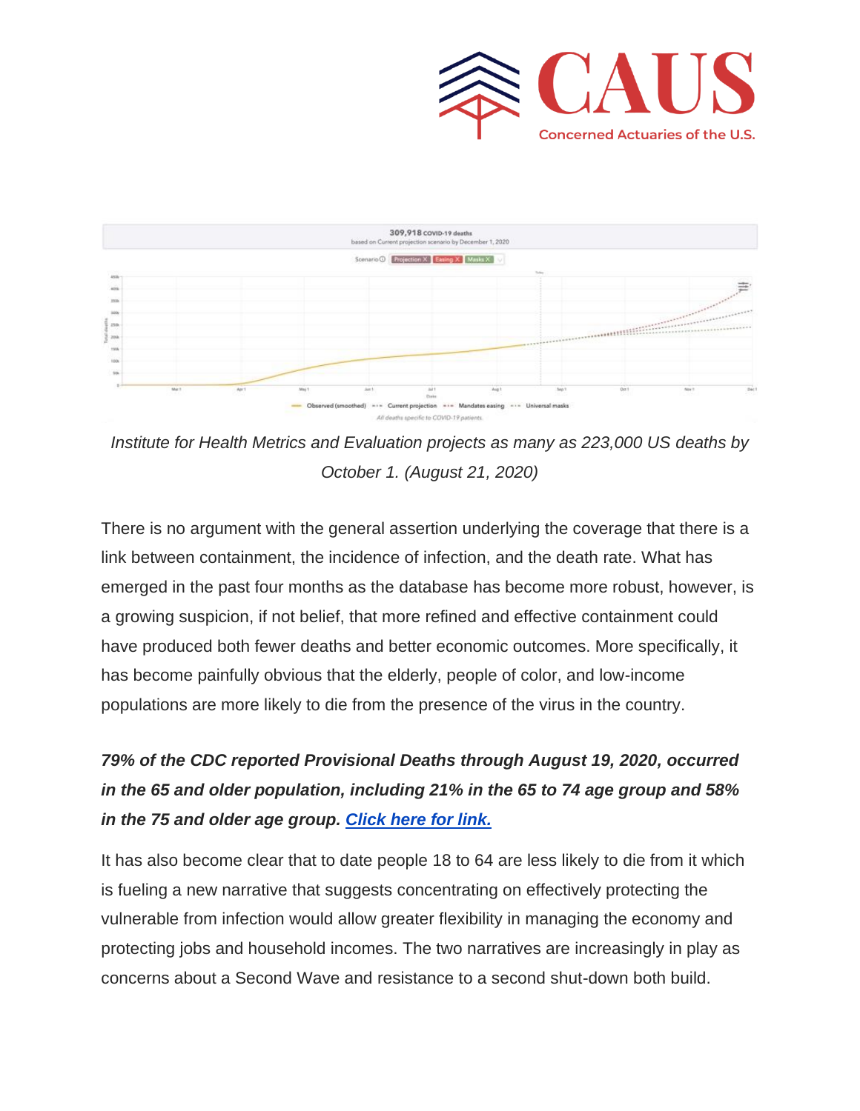



*Institute for Health Metrics and Evaluation projects as many as 223,000 US deaths by October 1. (August 21, 2020)*

There is no argument with the general assertion underlying the coverage that there is a link between containment, the incidence of infection, and the death rate. What has emerged in the past four months as the database has become more robust, however, is a growing suspicion, if not belief, that more refined and effective containment could have produced both fewer deaths and better economic outcomes. More specifically, it has become painfully obvious that the elderly, people of color, and low-income populations are more likely to die from the presence of the virus in the country.

# *79% of the CDC reported Provisional Deaths through August 19, 2020, occurred in the 65 and older population, including 21% in the 65 to 74 age group and 58% in the 75 and older age group. [Click here for link.](https://covid19.healthdata.org/united-states-of-america)*

It has also become clear that to date people 18 to 64 are less likely to die from it which is fueling a new narrative that suggests concentrating on effectively protecting the vulnerable from infection would allow greater flexibility in managing the economy and protecting jobs and household incomes. The two narratives are increasingly in play as concerns about a Second Wave and resistance to a second shut-down both build.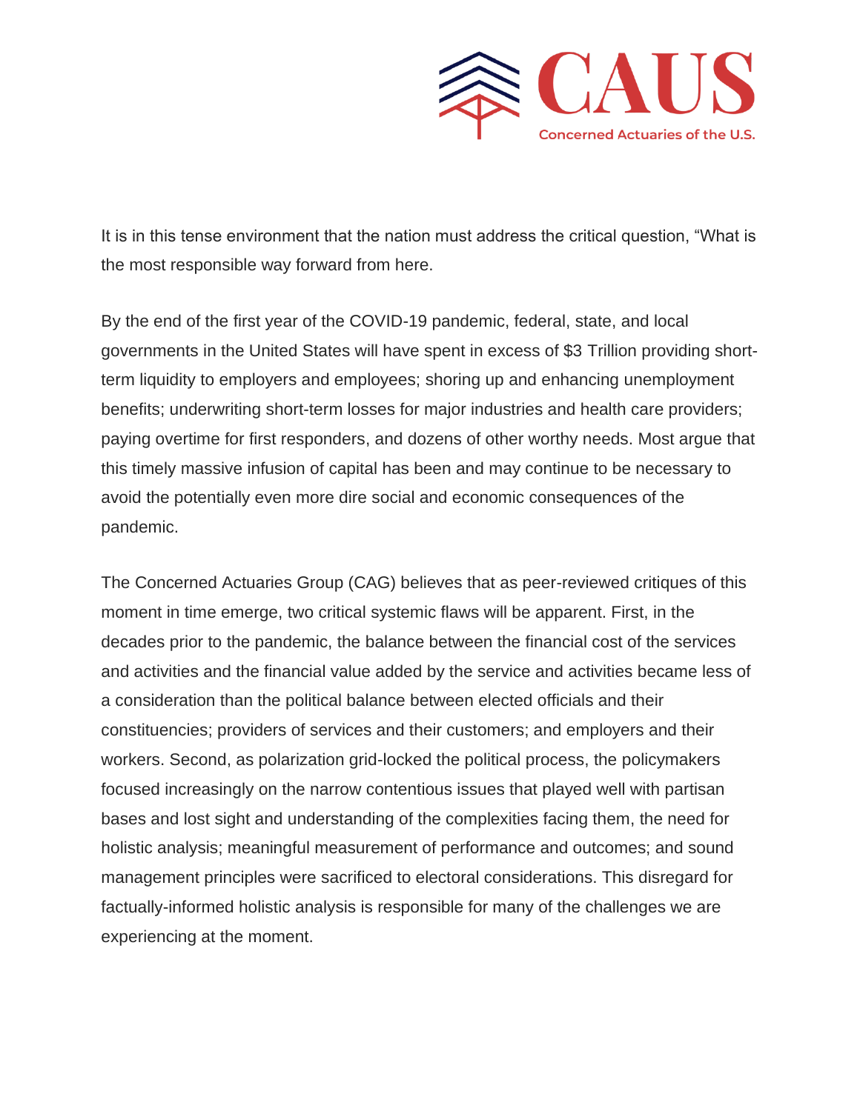

It is in this tense environment that the nation must address the critical question, "What is the most responsible way forward from here.

By the end of the first year of the COVID-19 pandemic, federal, state, and local governments in the United States will have spent in excess of \$3 Trillion providing shortterm liquidity to employers and employees; shoring up and enhancing unemployment benefits; underwriting short-term losses for major industries and health care providers; paying overtime for first responders, and dozens of other worthy needs. Most argue that this timely massive infusion of capital has been and may continue to be necessary to avoid the potentially even more dire social and economic consequences of the pandemic.

The Concerned Actuaries Group (CAG) believes that as peer-reviewed critiques of this moment in time emerge, two critical systemic flaws will be apparent. First, in the decades prior to the pandemic, the balance between the financial cost of the services and activities and the financial value added by the service and activities became less of a consideration than the political balance between elected officials and their constituencies; providers of services and their customers; and employers and their workers. Second, as polarization grid-locked the political process, the policymakers focused increasingly on the narrow contentious issues that played well with partisan bases and lost sight and understanding of the complexities facing them, the need for holistic analysis; meaningful measurement of performance and outcomes; and sound management principles were sacrificed to electoral considerations. This disregard for factually-informed holistic analysis is responsible for many of the challenges we are experiencing at the moment.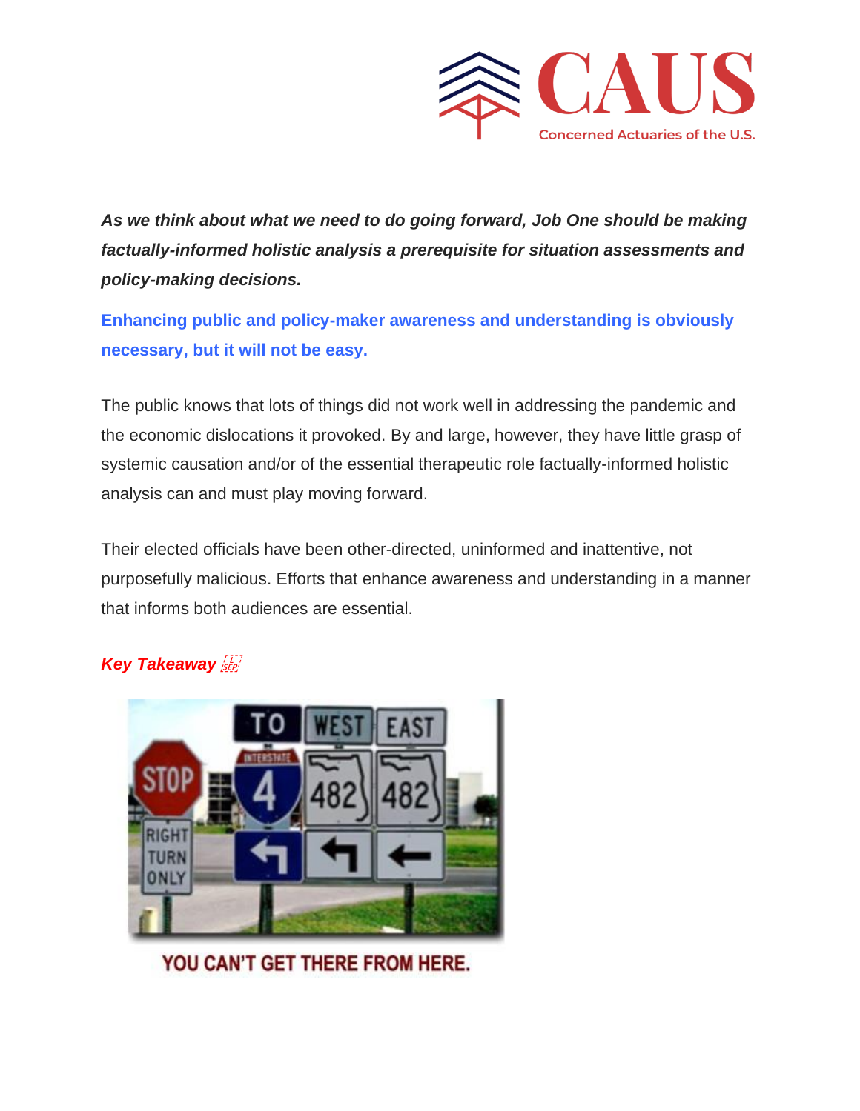

*As we think about what we need to do going forward, Job One should be making factually-informed holistic analysis a prerequisite for situation assessments and policy-making decisions.*

**Enhancing public and policy-maker awareness and understanding is obviously necessary, but it will not be easy.** 

The public knows that lots of things did not work well in addressing the pandemic and the economic dislocations it provoked. By and large, however, they have little grasp of systemic causation and/or of the essential therapeutic role factually-informed holistic analysis can and must play moving forward.

Their elected officials have been other-directed, uninformed and inattentive, not purposefully malicious. Efforts that enhance awareness and understanding in a manner that informs both audiences are essential.

## *Key Takeaway*



YOU CAN'T GET THERE FROM HERE.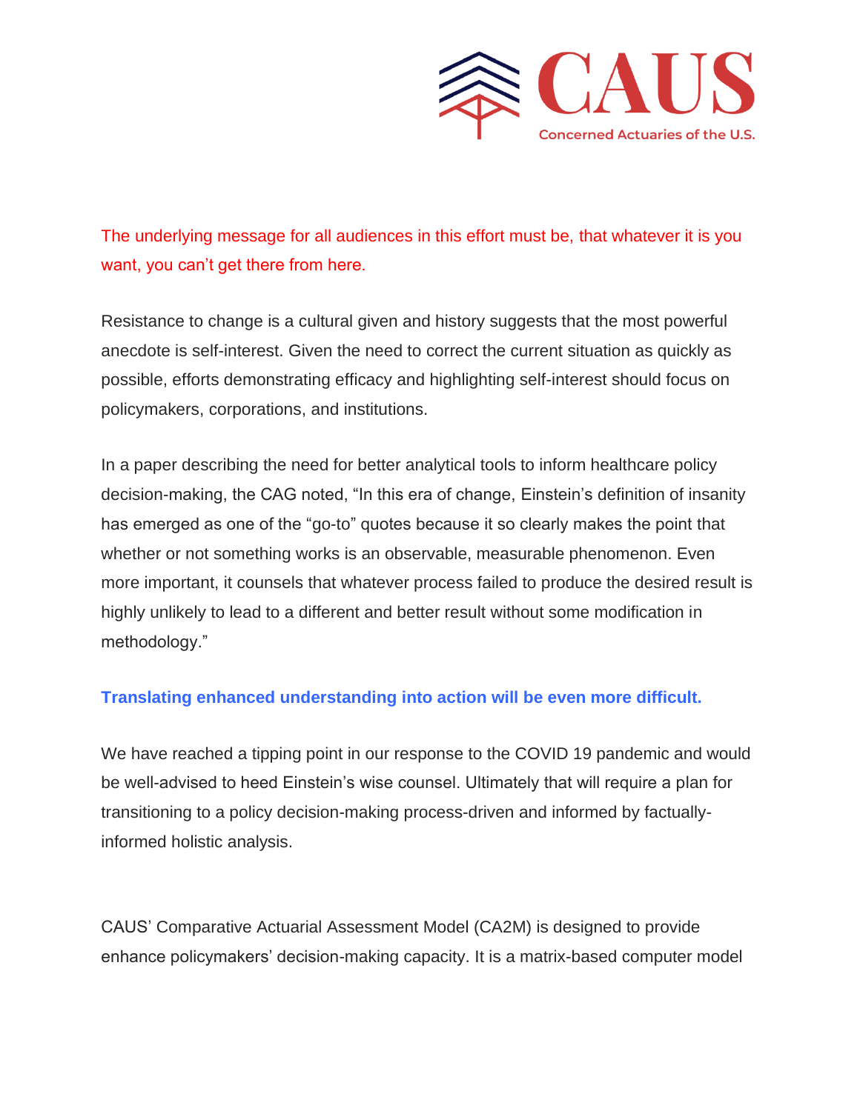

The underlying message for all audiences in this effort must be, that whatever it is you want, you can't get there from here.

Resistance to change is a cultural given and history suggests that the most powerful anecdote is self-interest. Given the need to correct the current situation as quickly as possible, efforts demonstrating efficacy and highlighting self-interest should focus on policymakers, corporations, and institutions.

In a paper describing the need for better analytical tools to inform healthcare policy decision-making, the CAG noted, "In this era of change, Einstein's definition of insanity has emerged as one of the "go-to" quotes because it so clearly makes the point that whether or not something works is an observable, measurable phenomenon. Even more important, it counsels that whatever process failed to produce the desired result is highly unlikely to lead to a different and better result without some modification in methodology."

### **Translating enhanced understanding into action will be even more difficult.**

We have reached a tipping point in our response to the COVID 19 pandemic and would be well-advised to heed Einstein's wise counsel. Ultimately that will require a plan for transitioning to a policy decision-making process-driven and informed by factuallyinformed holistic analysis.

CAUS' Comparative Actuarial Assessment Model (CA2M) is designed to provide enhance policymakers' decision-making capacity. It is a matrix-based computer model